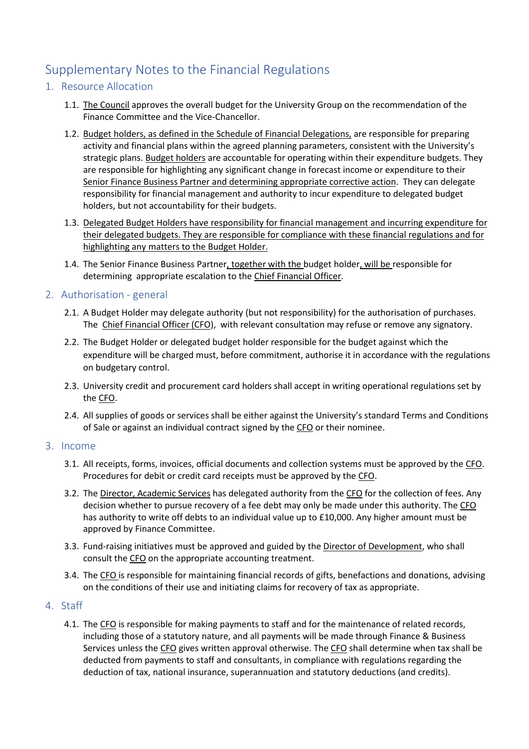# Supplementary Notes to the Financial Regulations

## 1. Resource Allocation

- 1.1. The Council approves the overall budget for the University Group on the recommendation of the Finance Committee and the Vice-Chancellor.
- 1.2. Budget holders, as defined in the Schedule of Financial Delegations, are responsible for preparing activity and financial plans within the agreed planning parameters, consistent with the University's strategic plans. Budget holders are accountable for operating within their expenditure budgets. They are responsible for highlighting any significant change in forecast income or expenditure to their Senior Finance Business Partner and determining appropriate corrective action. They can delegate responsibility for financial management and authority to incur expenditure to delegated budget holders, but not accountability for their budgets.
- 1.3. Delegated Budget Holders have responsibility for financial management and incurring expenditure for their delegated budgets. They are responsible for compliance with these financial regulations and for highlighting any matters to the Budget Holder.
- 1.4. The Senior Finance Business Partner, together with the budget holder, will be responsible for determining appropriate escalation to the Chief Financial Officer.

### 2. Authorisation - general

- 2.1. A Budget Holder may delegate authority (but not responsibility) for the authorisation of purchases. The Chief Financial Officer (CFO), with relevant consultation may refuse or remove any signatory.
- 2.2. The Budget Holder or delegated budget holder responsible for the budget against which the expenditure will be charged must, before commitment, authorise it in accordance with the regulations on budgetary control.
- 2.3. University credit and procurement card holders shall accept in writing operational regulations set by the CFO.
- 2.4. All supplies of goods or services shall be either against the University's standard Terms and Conditions of Sale or against an individual contract signed by the CFO or their nominee.

### 3. Income

- 3.1. All receipts, forms, invoices, official documents and collection systems must be approved by the CFO. Procedures for debit or credit card receipts must be approved by the CFO.
- 3.2. The Director, Academic Services has delegated authority from the CFO for the collection of fees. Any decision whether to pursue recovery of a fee debt may only be made under this authority. The CFO has authority to write off debts to an individual value up to £10,000. Any higher amount must be approved by Finance Committee.
- 3.3. Fund-raising initiatives must be approved and guided by the Director of Development, who shall consult the CFO on the appropriate accounting treatment.
- 3.4. The CFO is responsible for maintaining financial records of gifts, benefactions and donations, advising on the conditions of their use and initiating claims for recovery of tax as appropriate.

### 4. Staff

4.1. The CFO is responsible for making payments to staff and for the maintenance of related records, including those of a statutory nature, and all payments will be made through Finance & Business Services unless the CFO gives written approval otherwise. The CFO shall determine when tax shall be deducted from payments to staff and consultants, in compliance with regulations regarding the deduction of tax, national insurance, superannuation and statutory deductions (and credits).